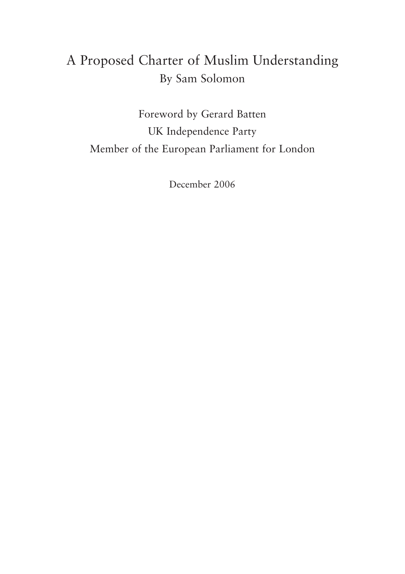# **A Proposed Charter of Muslim Understanding By Sam Solomon**

**Foreword by Gerard Batten UK Independence Party Member of the European Parliament for London**

**December 2006**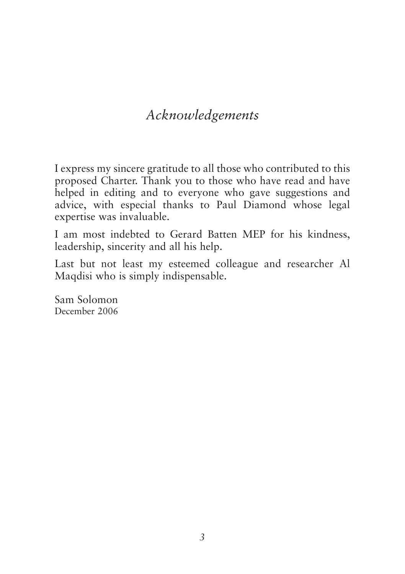# *Acknowledgements*

**I express my sincere gratitude to all those who contributed to this proposed Charter. Thank you to those who have read and have helped in editing and to everyone who gave suggestions and advice, with especial thanks to Paul Diamond whose legal expertise was invaluable.**

**I am most indebted to Gerard Batten MEP for his kindness, leadership, sincerity and all his help.**

**Last but not least my esteemed colleague and researcher Al Maqdisi who is simply indispensable.**

**Sam Solomon December 2006**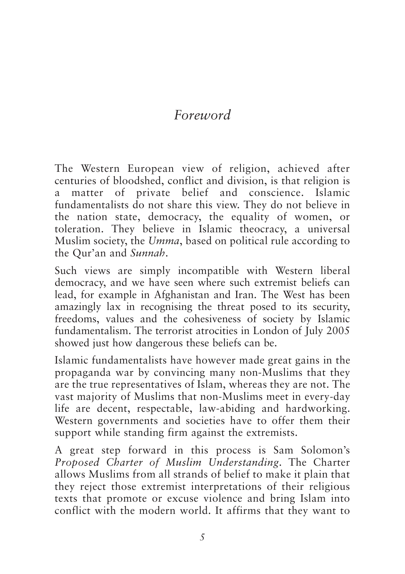# *Foreword*

**The Western European view of religion, achieved after centuries of bloodshed, conflict and division, is that religion is a matter of private belief and conscience. Islamic fundamentalists do not share this view. They do not believe in the nation state, democracy, the equality of women, or toleration. They believe in Islamic theocracy, a universal Muslim society, the** *Umma***, based on political rule according to the Qur'an and** *Sunnah***.**

**Such views are simply incompatible with Western liberal democracy, and we have seen where such extremist beliefs can lead, for example in Afghanistan and Iran. The West has been amazingly lax in recognising the threat posed to its security, freedoms, values and the cohesiveness of society by Islamic fundamentalism. The terrorist atrocities in London of July 2005 showed just how dangerous these beliefs can be.**

**Islamic fundamentalists have however made great gains in the propaganda war by convincing many non-Muslims that they are the true representatives of Islam, whereas they are not. The vast majority of Muslims that non-Muslims meet in every-day life are decent, respectable, law-abiding and hardworking. Western governments and societies have to offer them their support while standing firm against the extremists.**

**A great step forward in this process is Sam Solomon's** *Proposed Charter of Muslim Understanding***. The Charter allows Muslims from all strands of belief to make it plain that they reject those extremist interpretations of their religious texts that promote or excuse violence and bring Islam into conflict with the modern world. It affirms that they want to**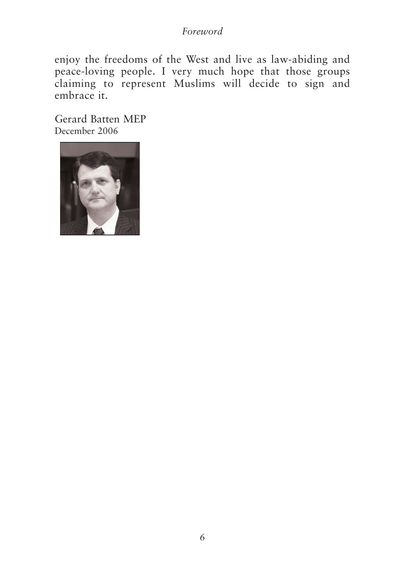#### *Foreword*

**enjoy the freedoms of the West and live as law-abiding and peace-loving people. I very much hope that those groups claiming to represent Muslims will decide to sign and embrace it.**

**Gerard Batten MEP December 2006**

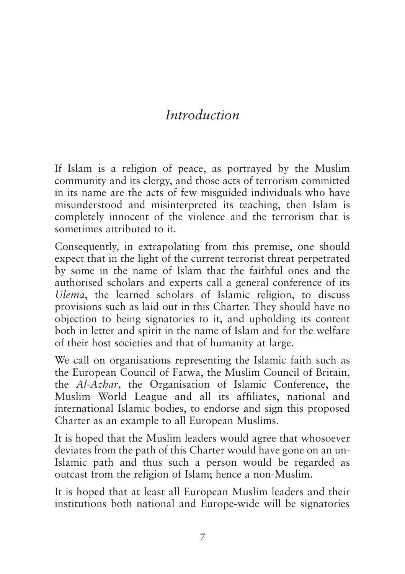# *Introduction*

**If Islam is a religion of peace, as portrayed by the Muslim community and its clergy, and those acts of terrorism committed in its name are the acts of few misguided individuals who have misunderstood and misinterpreted its teaching, then Islam is completely innocent of the violence and the terrorism that is sometimes attributed to it.**

**Consequently, in extrapolating from this premise, one should expect that in the light of the current terrorist threat perpetrated by some in the name of Islam that the faithful ones and the authorised scholars and experts call a general conference of its** *Ulema***, the learned scholars of Islamic religion, to discuss provisions such as laid out in this Charter. They should have no objection to being signatories to it, and upholding its content both in letter and spirit in the name of Islam and for the welfare of their host societies and that of humanity at large.**

**We call on organisations representing the Islamic faith such as the European Council of Fatwa, the Muslim Council of Britain, the** *Al-Azhar***, the Organisation of Islamic Conference, the Muslim World League and all its affiliates, national and international Islamic bodies, to endorse and sign this proposed Charter as an example to all European Muslims.**

**It is hoped that the Muslim leaders would agree that whosoever deviates from the path of this Charter would have gone on an un-Islamic path and thus such a person would be regarded as outcast from the religion of Islam; hence a non-Muslim.**

**It is hoped that at least all European Muslim leaders and their institutions both national and Europe-wide will be signatories**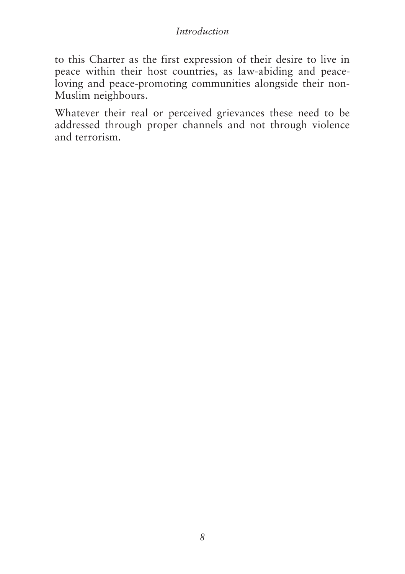#### *Introduction*

**to this Charter as the first expression of their desire to live in peace within their host countries, as law-abiding and peaceloving and peace-promoting communities alongside their non-Muslim neighbours.**

**Whatever their real or perceived grievances these need to be addressed through proper channels and not through violence and terrorism.**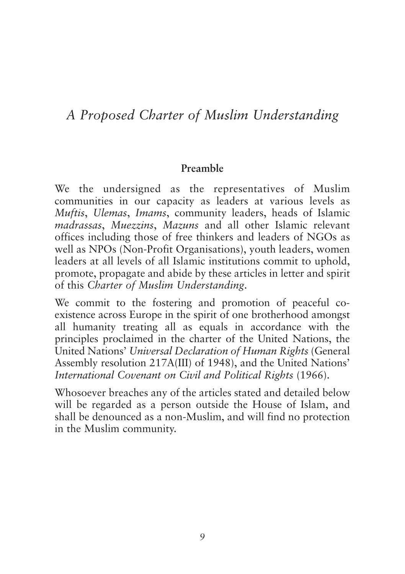# *A Proposed Charter of Muslim Understanding*

#### **Preamble**

**We the undersigned as the representatives of Muslim communities in our capacity as leaders at various levels as** *Muftis***,** *Ulemas***,** *Imams***, community leaders, heads of Islamic** *madrassas***,** *Muezzins***,** *Mazuns* **and all other Islamic relevant offices including those of free thinkers and leaders of NGOs as well as NPOs (Non-Profit Organisations), youth leaders, women leaders at all levels of all Islamic institutions commit to uphold, promote, propagate and abide by these articles in letter and spirit of this** *Charter of Muslim Understanding***.**

**We commit to the fostering and promotion of peaceful coexistence across Europe in the spirit of one brotherhood amongst all humanity treating all as equals in accordance with the principles proclaimed in the charter of the United Nations, the United Nations'** *Universal Declaration of Human Rights* **(General Assembly resolution 217A(III) of 1948), and the United Nations'** *International Covenant on Civil and Political Rights* **(1966).**

**Whosoever breaches any of the articles stated and detailed below will be regarded as a person outside the House of Islam, and shall be denounced as a non-Muslim, and will find no protection in the Muslim community.**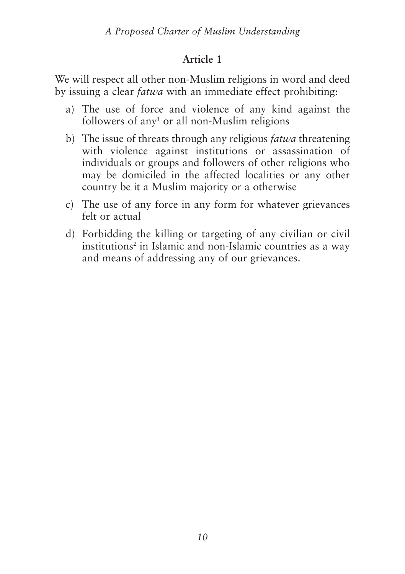**We will respect all other non-Muslim religions in word and deed by issuing a clear** *fatwa* **with an immediate effect prohibiting:**

- **a) The use of force and violence of any kind against the followers of any1 or all non-Muslim religions**
- **b) The issue of threats through any religious** *fatwa* **threatening with violence against institutions or assassination of individuals or groups and followers of other religions who may be domiciled in the affected localities or any other country be it a Muslim majority or a otherwise**
- **c) The use of any force in any form for whatever grievances felt or actual**
- **d) Forbidding the killing or targeting of any civilian or civil institutions2 in Islamic and non-Islamic countries as a way and means of addressing any of our grievances.**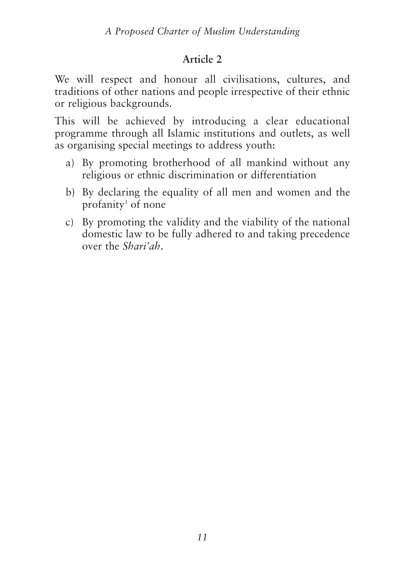**We will respect and honour all civilisations, cultures, and traditions of other nations and people irrespective of their ethnic or religious backgrounds.**

**This will be achieved by introducing a clear educational programme through all Islamic institutions and outlets, as well as organising special meetings to address youth:**

- **a) By promoting brotherhood of all mankind without any religious or ethnic discrimination or differentiation**
- **b) By declaring the equality of all men and women and the profanity3 of none**
- **c) By promoting the validity and the viability of the national domestic law to be fully adhered to and taking precedence over the** *Shari'ah***.**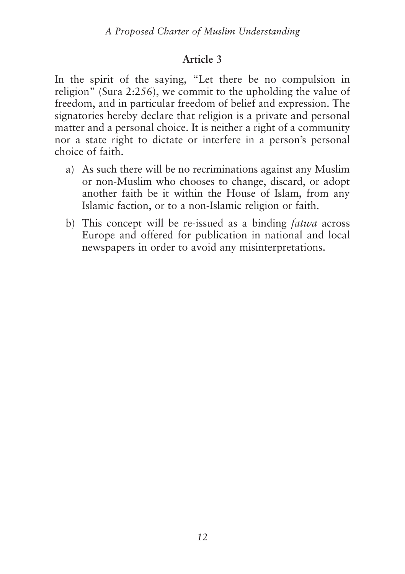**In the spirit of the saying, "Let there be no compulsion in religion" (Sura 2:256), we commit to the upholding the value of freedom, and in particular freedom of belief and expression. The signatories hereby declare that religion is a private and personal matter and a personal choice. It is neither a right of a community nor a state right to dictate or interfere in a person's personal choice of faith.**

- **a) As such there will be no recriminations against any Muslim or non-Muslim who chooses to change, discard, or adopt another faith be it within the House of Islam, from any Islamic faction, or to a non-Islamic religion or faith.**
- **b) This concept will be re-issued as a binding** *fatwa* **across Europe and offered for publication in national and local newspapers in order to avoid any misinterpretations.**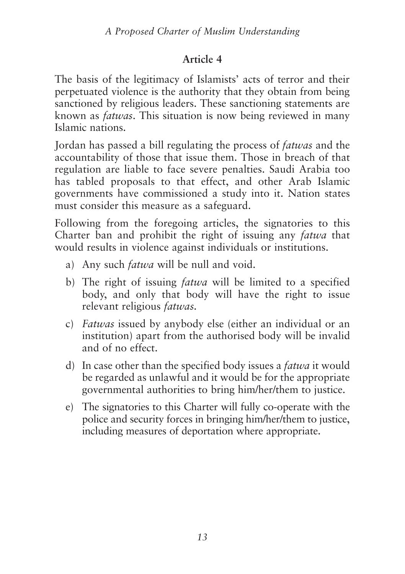**The basis of the legitimacy of Islamists' acts of terror and their perpetuated violence is the authority that they obtain from being sanctioned by religious leaders. These sanctioning statements are known as** *fatwas***. This situation is now being reviewed in many Islamic nations.**

**Jordan has passed a bill regulating the process of** *fatwas* **and the accountability of those that issue them. Those in breach of that regulation are liable to face severe penalties. Saudi Arabia too has tabled proposals to that effect, and other Arab Islamic governments have commissioned a study into it. Nation states must consider this measure as a safeguard.**

**Following from the foregoing articles, the signatories to this Charter ban and prohibit the right of issuing any** *fatwa* **that would results in violence against individuals or institutions.**

- **a) Any such** *fatwa* **will be null and void.**
- **b) The right of issuing** *fatwa* **will be limited to a specified body, and only that body will have the right to issue relevant religious** *fatwas.*
- **c)** *Fatwas* **issued by anybody else (either an individual or an institution) apart from the authorised body will be invalid and of no effect.**
- **d) In case other than the specified body issues a** *fatwa* **it would be regarded as unlawful and it would be for the appropriate governmental authorities to bring him/her/them to justice.**
- **e) The signatories to this Charter will fully co-operate with the police and security forces in bringing him/her/them to justice, including measures of deportation where appropriate.**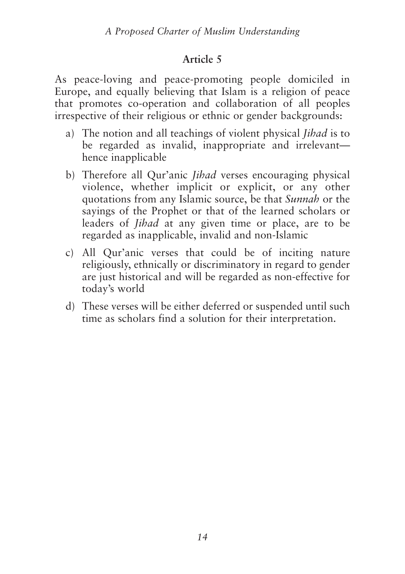**As peace-loving and peace-promoting people domiciled in Europe, and equally believing that Islam is a religion of peace that promotes co-operation and collaboration of all peoples irrespective of their religious or ethnic or gender backgrounds:**

- **a) The notion and all teachings of violent physical** *Jihad* **is to be regarded as invalid, inappropriate and irrelevant hence inapplicable**
- **b) Therefore all Qur'anic** *Jihad* **verses encouraging physical violence, whether implicit or explicit, or any other quotations from any Islamic source, be that** *Sunnah* **or the sayings of the Prophet or that of the learned scholars or leaders of** *Jihad* **at any given time or place, are to be regarded as inapplicable, invalid and non-Islamic**
- **c) All Qur'anic verses that could be of inciting nature religiously, ethnically or discriminatory in regard to gender are just historical and will be regarded as non-effective for today's world**
- **d) These verses will be either deferred or suspended until such time as scholars find a solution for their interpretation.**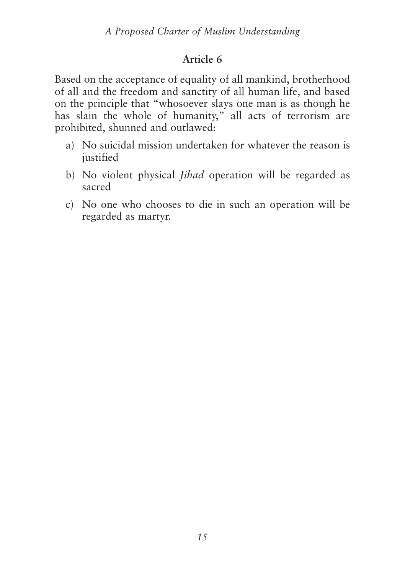**Based on the acceptance of equality of all mankind, brotherhood of all and the freedom and sanctity of all human life, and based on the principle that "whosoever slays one man is as though he has slain the whole of humanity," all acts of terrorism are prohibited, shunned and outlawed:**

- **a) No suicidal mission undertaken for whatever the reason is justified**
- **b) No violent physical** *Jihad* **operation will be regarded as sacred**
- **c) No one who chooses to die in such an operation will be regarded as martyr.**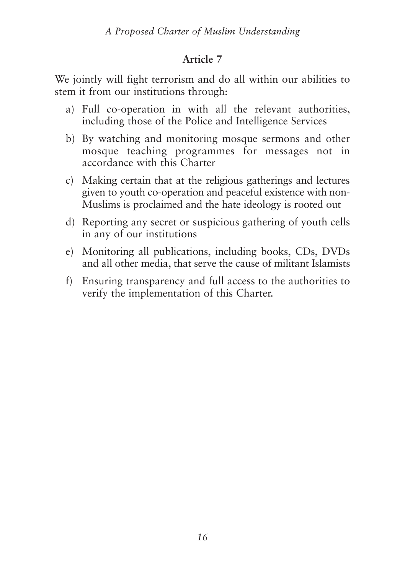**We jointly will fight terrorism and do all within our abilities to stem it from our institutions through:**

- **a) Full co-operation in with all the relevant authorities, including those of the Police and Intelligence Services**
- **b) By watching and monitoring mosque sermons and other mosque teaching programmes for messages not in accordance with this Charter**
- **c) Making certain that at the religious gatherings and lectures given to youth co-operation and peaceful existence with non-Muslims is proclaimed and the hate ideology is rooted out**
- **d) Reporting any secret or suspicious gathering of youth cells in any of our institutions**
- **e) Monitoring all publications, including books, CDs, DVDs and all other media, that serve the cause of militant Islamists**
- **f) Ensuring transparency and full access to the authorities to verify the implementation of this Charter.**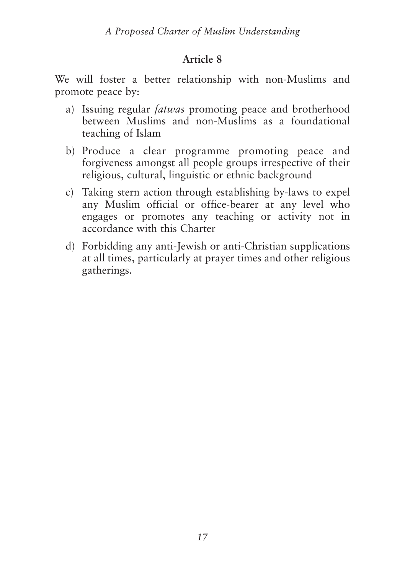**We will foster a better relationship with non-Muslims and promote peace by:**

- **a) Issuing regular** *fatwas* **promoting peace and brotherhood between Muslims and non-Muslims as a foundational teaching of Islam**
- **b) Produce a clear programme promoting peace and forgiveness amongst all people groups irrespective of their religious, cultural, linguistic or ethnic background**
- **c) Taking stern action through establishing by-laws to expel any Muslim official or office-bearer at any level who engages or promotes any teaching or activity not in accordance with this Charter**
- **d) Forbidding any anti-Jewish or anti-Christian supplications at all times, particularly at prayer times and other religious gatherings.**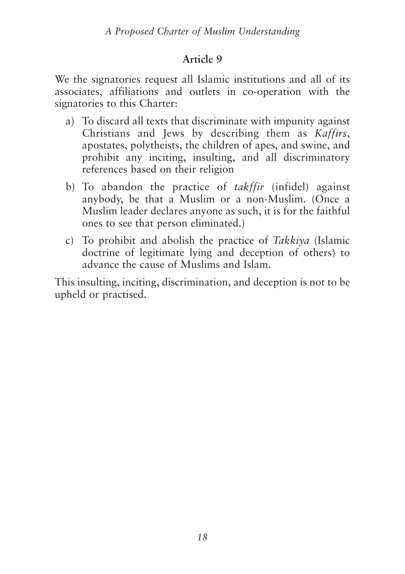**We the signatories request all Islamic institutions and all of its associates, affiliations and outlets in co-operation with the signatories to this Charter:**

- **a) To discard all texts that discriminate with impunity against Christians and Jews by describing them as** *Kaffirs***, apostates, polytheists, the children of apes, and swine, and prohibit any inciting, insulting, and all discriminatory references based on their religion**
- **b) To abandon the practice of** *takffir* **(infidel) against anybody, be that a Muslim or a non-Muslim. (Once a Muslim leader declares anyone as such, it is for the faithful ones to see that person eliminated.)**
- **c) To prohibit and abolish the practice of** *Takkiya* **(Islamic doctrine of legitimate lying and deception of others) to advance the cause of Muslims and Islam.**

**This insulting, inciting, discrimination, and deception is not to be upheld or practised.**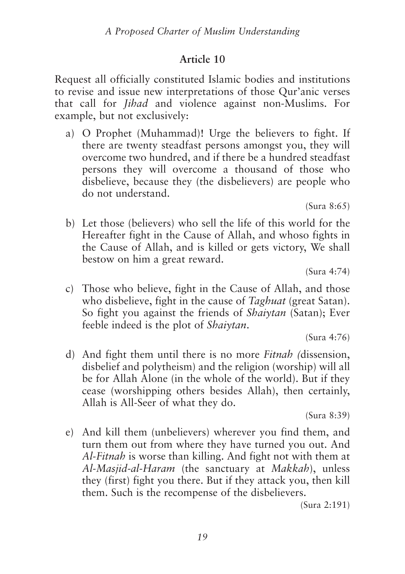**Request all officially constituted Islamic bodies and institutions to revise and issue new interpretations of those Qur'anic verses that call for** *Jihad* **and violence against non-Muslims. For example, but not exclusively:**

**a) O Prophet (Muhammad)! Urge the believers to fight. If there are twenty steadfast persons amongst you, they will overcome two hundred, and if there be a hundred steadfast persons they will overcome a thousand of those who disbelieve, because they (the disbelievers) are people who do not understand.**

**(Sura 8:65)**

**b) Let those (believers) who sell the life of this world for the Hereafter fight in the Cause of Allah, and whoso fights in the Cause of Allah, and is killed or gets victory, We shall bestow on him a great reward.**

**(Sura 4:74)**

**c) Those who believe, fight in the Cause of Allah, and those who disbelieve, fight in the cause of** *Taghuat* **(great Satan). So fight you against the friends of** *Shaiytan* **(Satan); Ever feeble indeed is the plot of** *Shaiytan***.**

**(Sura 4:76)**

**d) And fight them until there is no more** *Fitnah (***dissension, disbelief and polytheism) and the religion (worship) will all be for Allah Alone (in the whole of the world). But if they cease (worshipping others besides Allah), then certainly, Allah is All-Seer of what they do.**

**(Sura 8:39)**

**e) And kill them (unbelievers) wherever you find them, and turn them out from where they have turned you out. And** *Al-Fitnah* **is worse than killing. And fight not with them at** *Al-Masjid-al-Haram* **(the sanctuary at** *Makkah***), unless they (first) fight you there. But if they attack you, then kill them. Such is the recompense of the disbelievers.**

**(Sura 2:191)**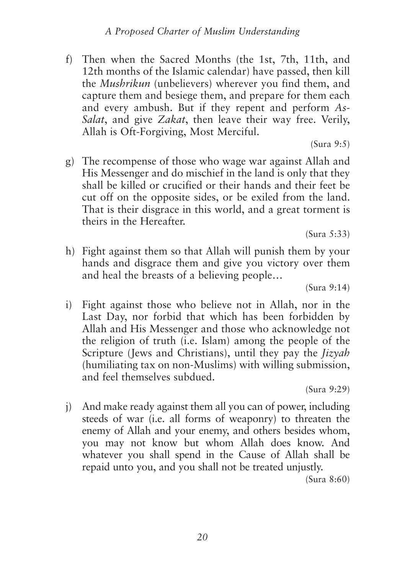**f) Then when the Sacred Months (the 1st, 7th, 11th, and 12th months of the Islamic calendar) have passed, then kill the** *Mushrikun* **(unbelievers) wherever you find them, and capture them and besiege them, and prepare for them each and every ambush. But if they repent and perform** *As-Salat***, and give** *Zakat***, then leave their way free. Verily, Allah is Oft-Forgiving, Most Merciful.**

**(Sura 9:5)**

**g) The recompense of those who wage war against Allah and His Messenger and do mischief in the land is only that they shall be killed or crucified or their hands and their feet be cut off on the opposite sides, or be exiled from the land. That is their disgrace in this world, and a great torment is theirs in the Hereafter.**

**(Sura 5:33)**

**h) Fight against them so that Allah will punish them by your hands and disgrace them and give you victory over them and heal the breasts of a believing people…**

**(Sura 9:14)**

**i) Fight against those who believe not in Allah, nor in the Last Day, nor forbid that which has been forbidden by Allah and His Messenger and those who acknowledge not the religion of truth (i.e. Islam) among the people of the Scripture (Jews and Christians), until they pay the** *Jizyah* **(humiliating tax on non-Muslims) with willing submission, and feel themselves subdued.**

**(Sura 9:29)**

**j) And make ready against them all you can of power, including steeds of war (i.e. all forms of weaponry) to threaten the enemy of Allah and your enemy, and others besides whom, you may not know but whom Allah does know. And whatever you shall spend in the Cause of Allah shall be repaid unto you, and you shall not be treated unjustly.**

**(Sura 8:60)**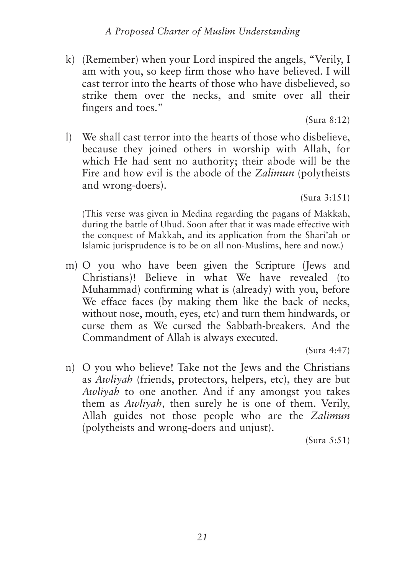**k) (Remember) when your Lord inspired the angels, "Verily, I am with you, so keep firm those who have believed. I will cast terror into the hearts of those who have disbelieved, so strike them over the necks, and smite over all their fingers and toes."**

**(Sura 8:12)**

**l) We shall cast terror into the hearts of those who disbelieve, because they joined others in worship with Allah, for which He had sent no authority; their abode will be the Fire and how evil is the abode of the** *Zalimun* **(polytheists and wrong-doers).**

**(Sura 3:151)**

**(This verse was given in Medina regarding the pagans of Makkah, during the battle of Uhud. Soon after that it was made effective with the conquest of Makkah, and its application from the Shari'ah or Islamic jurisprudence is to be on all non-Muslims, here and now.)**

**m) O you who have been given the Scripture (Jews and Christians)! Believe in what We have revealed (to Muhammad) confirming what is (already) with you, before We efface faces (by making them like the back of necks, without nose, mouth, eyes, etc) and turn them hindwards, or curse them as We cursed the Sabbath-breakers. And the Commandment of Allah is always executed.**

**(Sura 4:47)**

**n) O you who believe! Take not the Jews and the Christians as** *Awliyah* **(friends, protectors, helpers, etc), they are but** *Awliyah* **to one another. And if any amongst you takes them as** *Awliyah,* **then surely he is one of them. Verily, Allah guides not those people who are the** *Zalimun* **(polytheists and wrong-doers and unjust).**

**(Sura 5:51)**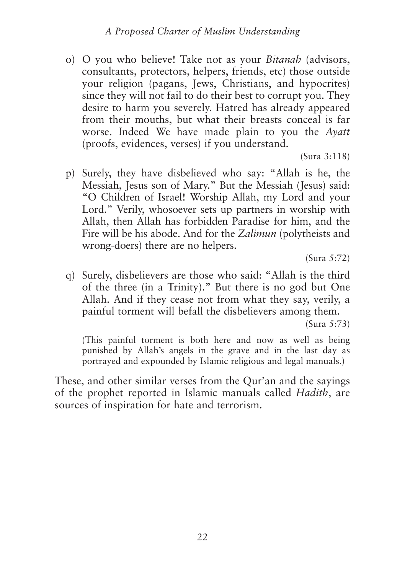**o) O you who believe! Take not as your** *Bitanah* **(advisors, consultants, protectors, helpers, friends, etc) those outside your religion (pagans, Jews, Christians, and hypocrites) since they will not fail to do their best to corrupt you. They desire to harm you severely. Hatred has already appeared from their mouths, but what their breasts conceal is far worse. Indeed We have made plain to you the** *Ayatt* **(proofs, evidences, verses) if you understand.**

**(Sura 3:118)**

**p) Surely, they have disbelieved who say: "Allah is he, the Messiah, Jesus son of Mary." But the Messiah (Jesus) said: "O Children of Israel! Worship Allah, my Lord and your Lord." Verily, whosoever sets up partners in worship with Allah, then Allah has forbidden Paradise for him, and the Fire will be his abode. And for the** *Zalimun* **(polytheists and wrong-doers) there are no helpers.**

**(Sura 5:72)**

**q) Surely, disbelievers are those who said: "Allah is the third of the three (in a Trinity)." But there is no god but One Allah. And if they cease not from what they say, verily, a painful torment will befall the disbelievers among them.**

**(Sura 5:73)**

**(This painful torment is both here and now as well as being punished by Allah's angels in the grave and in the last day as portrayed and expounded by Islamic religious and legal manuals.)**

**These, and other similar verses from the Qur'an and the sayings of the prophet reported in Islamic manuals called** *Hadith***, are sources of inspiration for hate and terrorism.**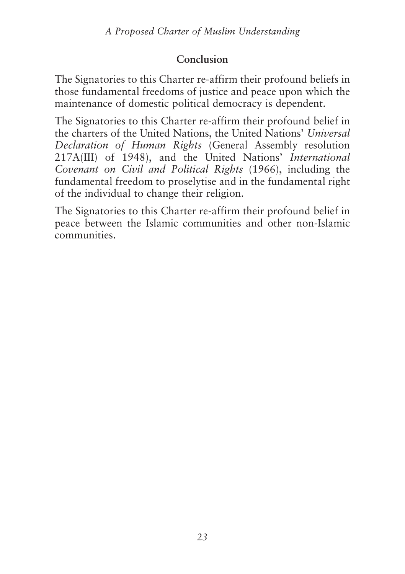## **Conclusion**

**The Signatories to this Charter re-affirm their profound beliefs in those fundamental freedoms of justice and peace upon which the maintenance of domestic political democracy is dependent.**

**The Signatories to this Charter re-affirm their profound belief in the charters of the United Nations, the United Nations'** *Universal Declaration of Human Rights* **(General Assembly resolution 217A(III) of 1948), and the United Nations'** *International Covenant on Civil and Political Rights* **(1966), including the fundamental freedom to proselytise and in the fundamental right of the individual to change their religion.**

**The Signatories to this Charter re-affirm their profound belief in peace between the Islamic communities and other non-Islamic communities.**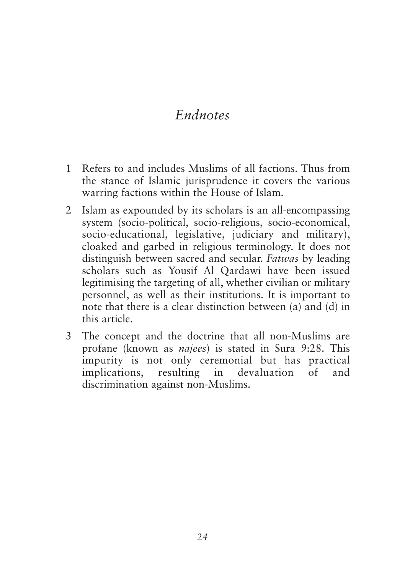# *Endnotes*

- **1 Refers to and includes Muslims of all factions. Thus from the stance of Islamic jurisprudence it covers the various warring factions within the House of Islam.**
- **2 Islam as expounded by its scholars is an all-encompassing system (socio-political, socio-religious, socio-economical, socio-educational, legislative, judiciary and military), cloaked and garbed in religious terminology. It does not distinguish between sacred and secular.** *Fatwas* **by leading scholars such as Yousif Al Qardawi have been issued legitimising the targeting of all, whether civilian or military personnel, as well as their institutions. It is important to note that there is a clear distinction between (a) and (d) in this article.**
- **3 The concept and the doctrine that all non-Muslims are profane (known as** *najees***) is stated in Sura 9:28. This impurity is not only ceremonial but has practical implications, resulting in devaluation of and discrimination against non-Muslims.**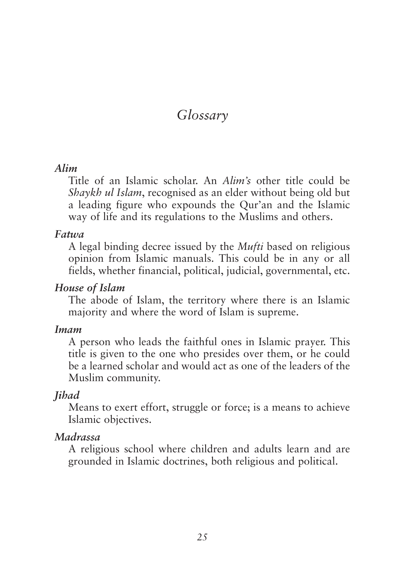# *Glossary*

### *Alim*

**Title of an Islamic scholar. An** *Alim's* **other title could be** *Shaykh ul Islam***, recognised as an elder without being old but a leading figure who expounds the Qur'an and the Islamic way of life and its regulations to the Muslims and others.**

#### *Fatwa*

**A legal binding decree issued by the** *Mufti* **based on religious opinion from Islamic manuals. This could be in any or all fields, whether financial, political, judicial, governmental, etc.**

#### *House of Islam*

**The abode of Islam, the territory where there is an Islamic majority and where the word of Islam is supreme.**

#### *Imam*

**A person who leads the faithful ones in Islamic prayer. This title is given to the one who presides over them, or he could be a learned scholar and would act as one of the leaders of the Muslim community.**

#### *Jihad*

**Means to exert effort, struggle or force; is a means to achieve Islamic objectives.**

#### *Madrassa*

**A religious school where children and adults learn and are grounded in Islamic doctrines, both religious and political.**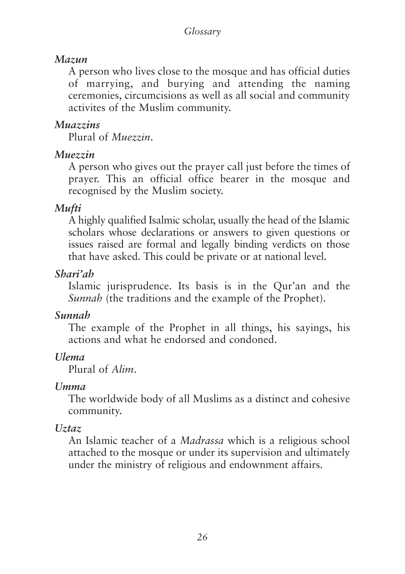### *Mazun*

**A person who lives close to the mosque and has official duties of marrying, and burying and attending the naming ceremonies, circumcisions as well as all social and community activites of the Muslim community.**

### *Muazzins*

**Plural of** *Muezzin***.**

### *Muezzin*

**A person who gives out the prayer call just before the times of prayer. This an official office bearer in the mosque and recognised by the Muslim society.**

## *Mufti*

**A highly qualified Isalmic scholar, usually the head of the Islamic scholars whose declarations or answers to given questions or issues raised are formal and legally binding verdicts on those that have asked. This could be private or at national level.**

### *Shari'ah*

**Islamic jurisprudence. Its basis is in the Qur'an and the** *Sunnah* **(the traditions and the example of the Prophet).**

### *Sunnah*

**The example of the Prophet in all things, his sayings, his actions and what he endorsed and condoned.**

### *Ulema*

**Plural of** *Alim***.**

### *Umma*

**The worldwide body of all Muslims as a distinct and cohesive community.**

## *Uztaz*

**An Islamic teacher of a** *Madrassa* **which is a religious school attached to the mosque or under its supervision and ultimately under the ministry of religious and endownment affairs.**